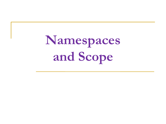**Namespaces and Scope**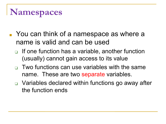# **Namespaces**

- You can think of a namespace as where a name is valid and can be used
	- ❑ If one function has a variable, another function (usually) cannot gain access to its value
	- $\Box$  Two functions can use variables with the same name. These are two separate variables.
	- ❑ Variables declared within functions go away after the function ends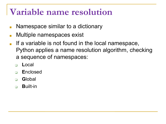### Variable name resolution

- Namespace similar to a dictionary  $\overline{\mathcal{A}}$
- Multiple namespaces exist  $\overline{\phantom{a}}$
- If a variable is not found in the local namespace, Python applies a name resolution algorithm, checking a sequence of namespaces:
	- Local  $\Box$
	- **Enclosed**
	- Global
	- **Built-in**  $\Box$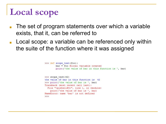## **Local scope**

- The set of program statements over which a variable exists, that it, can be referred to
- Local scope: a variable can be referenced only within the suite of the function where it was assigned

```
>>> def scope test(foo):
        bar = foo#local variable created
        print ('the value of bar in this function is ', bar)
>>> scope test (42)
the value of bar in this function is 42
>>> print ('the value of bar is ', bar)
Traceback (most recent call last):
  File "<pyshell#5>", line 1, in <module>
    print ('the value of bar is ', bar)
NameError: name 'bar' is not defined
\rightarrow
```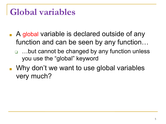#### **Global variables**

- A global variable is declared outside of any function and can be seen by any function…
	- ❑ …but cannot be changed by any function unless you use the "global" keyword
- Why don't we want to use global variables very much?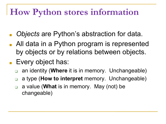#### **How Python stores information**

- **Objects are Python's abstraction for data.**
- All data in a Python program is represented by objects or by relations between objects.
- Every object has:
	- ❑ an identity (**Where** it is in memory. Unchangeable)
	- ❑ a type (**How to interpret** memory. Unchangeable)
	- ❑ a value (**What** is in memory. May (not) be changeable)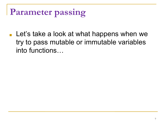# **Parameter passing**

■ Let's take a look at what happens when we try to pass mutable or immutable variables into functions…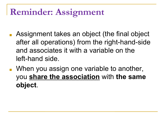# **Reminder: Assignment**

- Assignment takes an object (the final object after all operations) from the right-hand-side and associates it with a variable on the left-hand side.
- When you assign one variable to another, you **share the association** with **the same object**.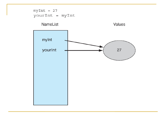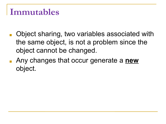#### **Immutables**

- Object sharing, two variables associated with the same object, is not a problem since the object cannot be changed.
- Any changes that occur generate a **new** object.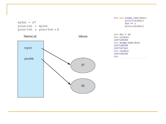$myInt = 27$ yourInt = myInt  $yourInt = yourInt + 5$ 



```
>>> def scope test(foo):
       print(id(foo))foo =+1print(id(foo))
```
 $>>$  foo = 42  $>>$  id(foo) 1837198096 >>> scope\_test(foo) 1837198096 1837197440  $>>$  id(foo) 1837198096  $>>$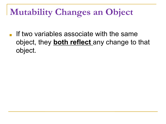# **Mutability Changes an Object**

**If two variables associate with the same** object, they **both reflect** any change to that object.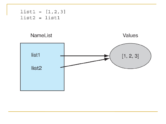

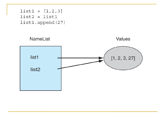

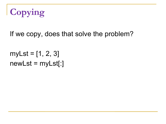

#### If we copy, does that solve the problem?

 $myLst = [1, 2, 3]$  $newLst = myLst[:]$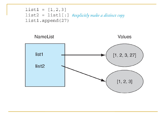```
list1 = [1, 2, 3]list2 = list1[:] #explicitly make a distinct copy
list1.append(27)
```
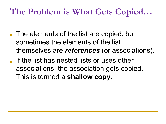#### **The Problem is What Gets Copied…**

- The elements of the list are copied, but sometimes the elements of the list themselves are *references* (or associations).
- If the list has nested lists or uses other associations, the association gets copied. This is termed a **shallow copy**.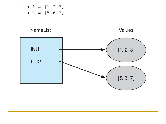$list1 = [1, 2, 3]$  $list2 = [5, 6, 7]$ 

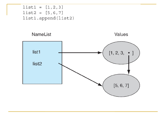```
list1 = [1, 2, 3]list2 = [5, 6, 7]list1.append(list2)
```
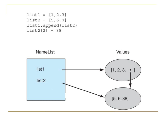```
list1 = [1, 2, 3]list2 = [5, 6, 7]list1.append(list2)
list2[2] = 88
```